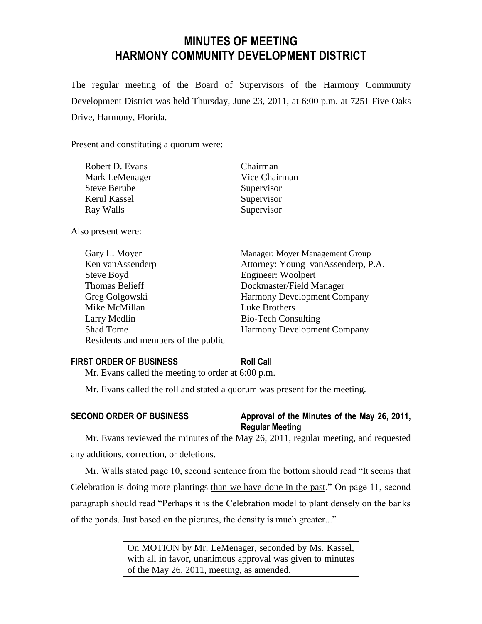# **MINUTES OF MEETING HARMONY COMMUNITY DEVELOPMENT DISTRICT**

The regular meeting of the Board of Supervisors of the Harmony Community Development District was held Thursday, June 23, 2011, at 6:00 p.m. at 7251 Five Oaks Drive, Harmony, Florida.

Present and constituting a quorum were:

| Robert D. Evans     | Chairman      |
|---------------------|---------------|
| Mark LeMenager      | Vice Chairman |
| <b>Steve Berube</b> | Supervisor    |
| Kerul Kassel        | Supervisor    |
| Ray Walls           | Supervisor    |
| Also present were:  |               |

Gary L. Moyer Manager: Moyer Management Group Ken vanAssenderp Attorney: Young vanAssenderp, P.A. Steve Boyd Engineer: Woolpert Thomas Belieff Dockmaster/Field Manager Greg Golgowski Harmony Development Company Mike McMillan Luke Brothers Larry Medlin Bio-Tech Consulting Shad Tome Harmony Development Company Residents and members of the public

| <b>FIRST ORDER OF BUSINESS</b>                                        | <b>Roll Call</b> |
|-----------------------------------------------------------------------|------------------|
| $M_{\odot}$ Equipment of the distribution of the surface of COO cases |                  |

Mr. Evans called the meeting to order at 6:00 p.m.

Mr. Evans called the roll and stated a quorum was present for the meeting.

## **SECOND ORDER OF BUSINESS Approval of the Minutes of the May 26, 2011, Regular Meeting**

Mr. Evans reviewed the minutes of the May 26, 2011, regular meeting, and requested any additions, correction, or deletions.

Mr. Walls stated page 10, second sentence from the bottom should read "It seems that Celebration is doing more plantings than we have done in the past." On page 11, second paragraph should read "Perhaps it is the Celebration model to plant densely on the banks of the ponds. Just based on the pictures, the density is much greater..."

> On MOTION by Mr. LeMenager, seconded by Ms. Kassel, with all in favor, unanimous approval was given to minutes of the May 26, 2011, meeting, as amended.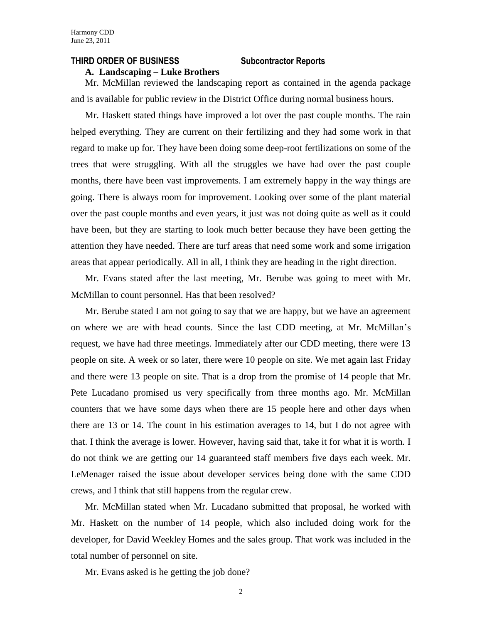#### **THIRD ORDER OF BUSINESS Subcontractor Reports**

#### **A. Landscaping – Luke Brothers**

Mr. McMillan reviewed the landscaping report as contained in the agenda package and is available for public review in the District Office during normal business hours.

Mr. Haskett stated things have improved a lot over the past couple months. The rain helped everything. They are current on their fertilizing and they had some work in that regard to make up for. They have been doing some deep-root fertilizations on some of the trees that were struggling. With all the struggles we have had over the past couple months, there have been vast improvements. I am extremely happy in the way things are going. There is always room for improvement. Looking over some of the plant material over the past couple months and even years, it just was not doing quite as well as it could have been, but they are starting to look much better because they have been getting the attention they have needed. There are turf areas that need some work and some irrigation areas that appear periodically. All in all, I think they are heading in the right direction.

Mr. Evans stated after the last meeting, Mr. Berube was going to meet with Mr. McMillan to count personnel. Has that been resolved?

Mr. Berube stated I am not going to say that we are happy, but we have an agreement on where we are with head counts. Since the last CDD meeting, at Mr. McMillan's request, we have had three meetings. Immediately after our CDD meeting, there were 13 people on site. A week or so later, there were 10 people on site. We met again last Friday and there were 13 people on site. That is a drop from the promise of 14 people that Mr. Pete Lucadano promised us very specifically from three months ago. Mr. McMillan counters that we have some days when there are 15 people here and other days when there are 13 or 14. The count in his estimation averages to 14, but I do not agree with that. I think the average is lower. However, having said that, take it for what it is worth. I do not think we are getting our 14 guaranteed staff members five days each week. Mr. LeMenager raised the issue about developer services being done with the same CDD crews, and I think that still happens from the regular crew.

Mr. McMillan stated when Mr. Lucadano submitted that proposal, he worked with Mr. Haskett on the number of 14 people, which also included doing work for the developer, for David Weekley Homes and the sales group. That work was included in the total number of personnel on site.

Mr. Evans asked is he getting the job done?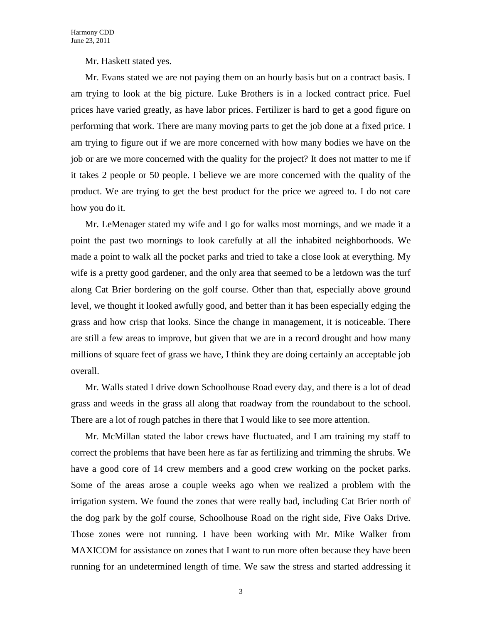Mr. Haskett stated yes.

Mr. Evans stated we are not paying them on an hourly basis but on a contract basis. I am trying to look at the big picture. Luke Brothers is in a locked contract price. Fuel prices have varied greatly, as have labor prices. Fertilizer is hard to get a good figure on performing that work. There are many moving parts to get the job done at a fixed price. I am trying to figure out if we are more concerned with how many bodies we have on the job or are we more concerned with the quality for the project? It does not matter to me if it takes 2 people or 50 people. I believe we are more concerned with the quality of the product. We are trying to get the best product for the price we agreed to. I do not care how you do it.

Mr. LeMenager stated my wife and I go for walks most mornings, and we made it a point the past two mornings to look carefully at all the inhabited neighborhoods. We made a point to walk all the pocket parks and tried to take a close look at everything. My wife is a pretty good gardener, and the only area that seemed to be a letdown was the turf along Cat Brier bordering on the golf course. Other than that, especially above ground level, we thought it looked awfully good, and better than it has been especially edging the grass and how crisp that looks. Since the change in management, it is noticeable. There are still a few areas to improve, but given that we are in a record drought and how many millions of square feet of grass we have, I think they are doing certainly an acceptable job overall.

Mr. Walls stated I drive down Schoolhouse Road every day, and there is a lot of dead grass and weeds in the grass all along that roadway from the roundabout to the school. There are a lot of rough patches in there that I would like to see more attention.

Mr. McMillan stated the labor crews have fluctuated, and I am training my staff to correct the problems that have been here as far as fertilizing and trimming the shrubs. We have a good core of 14 crew members and a good crew working on the pocket parks. Some of the areas arose a couple weeks ago when we realized a problem with the irrigation system. We found the zones that were really bad, including Cat Brier north of the dog park by the golf course, Schoolhouse Road on the right side, Five Oaks Drive. Those zones were not running. I have been working with Mr. Mike Walker from MAXICOM for assistance on zones that I want to run more often because they have been running for an undetermined length of time. We saw the stress and started addressing it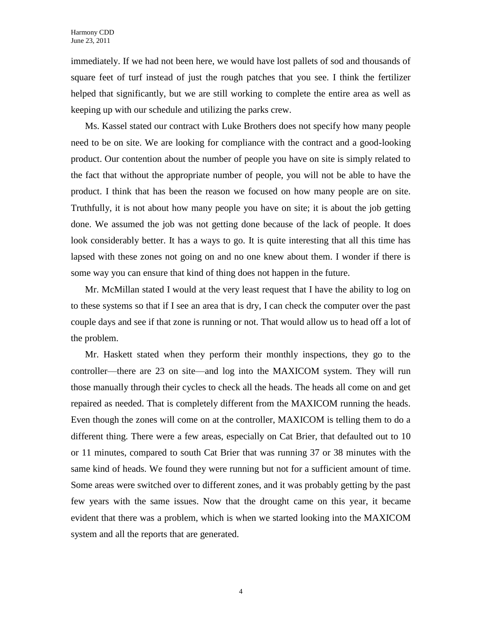immediately. If we had not been here, we would have lost pallets of sod and thousands of square feet of turf instead of just the rough patches that you see. I think the fertilizer helped that significantly, but we are still working to complete the entire area as well as keeping up with our schedule and utilizing the parks crew.

Ms. Kassel stated our contract with Luke Brothers does not specify how many people need to be on site. We are looking for compliance with the contract and a good-looking product. Our contention about the number of people you have on site is simply related to the fact that without the appropriate number of people, you will not be able to have the product. I think that has been the reason we focused on how many people are on site. Truthfully, it is not about how many people you have on site; it is about the job getting done. We assumed the job was not getting done because of the lack of people. It does look considerably better. It has a ways to go. It is quite interesting that all this time has lapsed with these zones not going on and no one knew about them. I wonder if there is some way you can ensure that kind of thing does not happen in the future.

Mr. McMillan stated I would at the very least request that I have the ability to log on to these systems so that if I see an area that is dry, I can check the computer over the past couple days and see if that zone is running or not. That would allow us to head off a lot of the problem.

Mr. Haskett stated when they perform their monthly inspections, they go to the controller—there are 23 on site—and log into the MAXICOM system. They will run those manually through their cycles to check all the heads. The heads all come on and get repaired as needed. That is completely different from the MAXICOM running the heads. Even though the zones will come on at the controller, MAXICOM is telling them to do a different thing. There were a few areas, especially on Cat Brier, that defaulted out to 10 or 11 minutes, compared to south Cat Brier that was running 37 or 38 minutes with the same kind of heads. We found they were running but not for a sufficient amount of time. Some areas were switched over to different zones, and it was probably getting by the past few years with the same issues. Now that the drought came on this year, it became evident that there was a problem, which is when we started looking into the MAXICOM system and all the reports that are generated.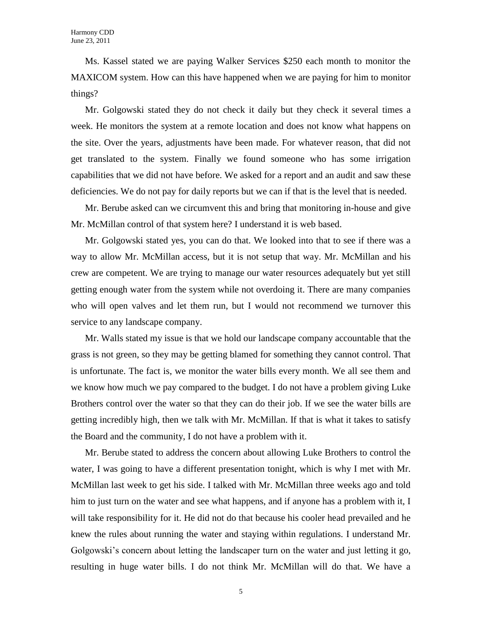Ms. Kassel stated we are paying Walker Services \$250 each month to monitor the MAXICOM system. How can this have happened when we are paying for him to monitor things?

Mr. Golgowski stated they do not check it daily but they check it several times a week. He monitors the system at a remote location and does not know what happens on the site. Over the years, adjustments have been made. For whatever reason, that did not get translated to the system. Finally we found someone who has some irrigation capabilities that we did not have before. We asked for a report and an audit and saw these deficiencies. We do not pay for daily reports but we can if that is the level that is needed.

Mr. Berube asked can we circumvent this and bring that monitoring in-house and give Mr. McMillan control of that system here? I understand it is web based.

Mr. Golgowski stated yes, you can do that. We looked into that to see if there was a way to allow Mr. McMillan access, but it is not setup that way. Mr. McMillan and his crew are competent. We are trying to manage our water resources adequately but yet still getting enough water from the system while not overdoing it. There are many companies who will open valves and let them run, but I would not recommend we turnover this service to any landscape company.

Mr. Walls stated my issue is that we hold our landscape company accountable that the grass is not green, so they may be getting blamed for something they cannot control. That is unfortunate. The fact is, we monitor the water bills every month. We all see them and we know how much we pay compared to the budget. I do not have a problem giving Luke Brothers control over the water so that they can do their job. If we see the water bills are getting incredibly high, then we talk with Mr. McMillan. If that is what it takes to satisfy the Board and the community, I do not have a problem with it.

Mr. Berube stated to address the concern about allowing Luke Brothers to control the water, I was going to have a different presentation tonight, which is why I met with Mr. McMillan last week to get his side. I talked with Mr. McMillan three weeks ago and told him to just turn on the water and see what happens, and if anyone has a problem with it, I will take responsibility for it. He did not do that because his cooler head prevailed and he knew the rules about running the water and staying within regulations. I understand Mr. Golgowski's concern about letting the landscaper turn on the water and just letting it go, resulting in huge water bills. I do not think Mr. McMillan will do that. We have a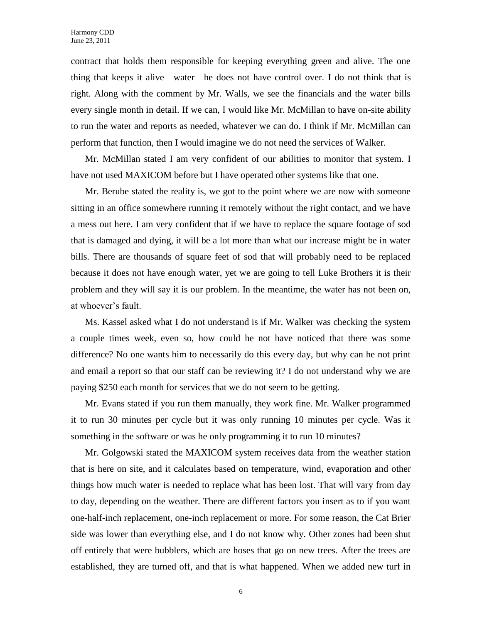contract that holds them responsible for keeping everything green and alive. The one thing that keeps it alive—water—he does not have control over. I do not think that is right. Along with the comment by Mr. Walls, we see the financials and the water bills every single month in detail. If we can, I would like Mr. McMillan to have on-site ability to run the water and reports as needed, whatever we can do. I think if Mr. McMillan can perform that function, then I would imagine we do not need the services of Walker.

Mr. McMillan stated I am very confident of our abilities to monitor that system. I have not used MAXICOM before but I have operated other systems like that one.

Mr. Berube stated the reality is, we got to the point where we are now with someone sitting in an office somewhere running it remotely without the right contact, and we have a mess out here. I am very confident that if we have to replace the square footage of sod that is damaged and dying, it will be a lot more than what our increase might be in water bills. There are thousands of square feet of sod that will probably need to be replaced because it does not have enough water, yet we are going to tell Luke Brothers it is their problem and they will say it is our problem. In the meantime, the water has not been on, at whoever's fault.

Ms. Kassel asked what I do not understand is if Mr. Walker was checking the system a couple times week, even so, how could he not have noticed that there was some difference? No one wants him to necessarily do this every day, but why can he not print and email a report so that our staff can be reviewing it? I do not understand why we are paying \$250 each month for services that we do not seem to be getting.

Mr. Evans stated if you run them manually, they work fine. Mr. Walker programmed it to run 30 minutes per cycle but it was only running 10 minutes per cycle. Was it something in the software or was he only programming it to run 10 minutes?

Mr. Golgowski stated the MAXICOM system receives data from the weather station that is here on site, and it calculates based on temperature, wind, evaporation and other things how much water is needed to replace what has been lost. That will vary from day to day, depending on the weather. There are different factors you insert as to if you want one-half-inch replacement, one-inch replacement or more. For some reason, the Cat Brier side was lower than everything else, and I do not know why. Other zones had been shut off entirely that were bubblers, which are hoses that go on new trees. After the trees are established, they are turned off, and that is what happened. When we added new turf in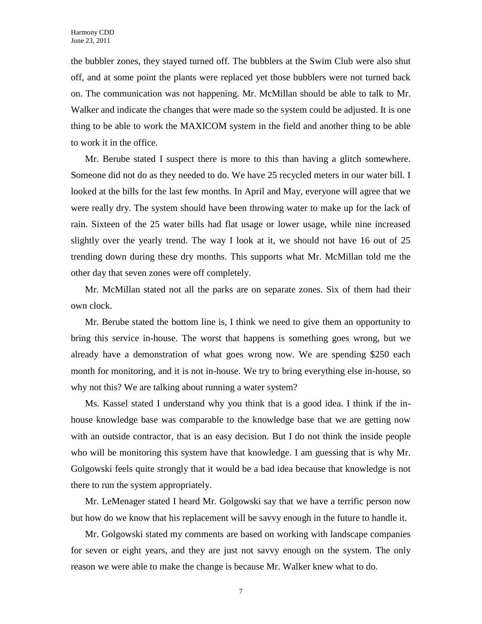the bubbler zones, they stayed turned off. The bubblers at the Swim Club were also shut off, and at some point the plants were replaced yet those bubblers were not turned back on. The communication was not happening. Mr. McMillan should be able to talk to Mr. Walker and indicate the changes that were made so the system could be adjusted. It is one thing to be able to work the MAXICOM system in the field and another thing to be able to work it in the office.

Mr. Berube stated I suspect there is more to this than having a glitch somewhere. Someone did not do as they needed to do. We have 25 recycled meters in our water bill. I looked at the bills for the last few months. In April and May, everyone will agree that we were really dry. The system should have been throwing water to make up for the lack of rain. Sixteen of the 25 water bills had flat usage or lower usage, while nine increased slightly over the yearly trend. The way I look at it, we should not have 16 out of 25 trending down during these dry months. This supports what Mr. McMillan told me the other day that seven zones were off completely.

Mr. McMillan stated not all the parks are on separate zones. Six of them had their own clock.

Mr. Berube stated the bottom line is, I think we need to give them an opportunity to bring this service in-house. The worst that happens is something goes wrong, but we already have a demonstration of what goes wrong now. We are spending \$250 each month for monitoring, and it is not in-house. We try to bring everything else in-house, so why not this? We are talking about running a water system?

Ms. Kassel stated I understand why you think that is a good idea. I think if the inhouse knowledge base was comparable to the knowledge base that we are getting now with an outside contractor, that is an easy decision. But I do not think the inside people who will be monitoring this system have that knowledge. I am guessing that is why Mr. Golgowski feels quite strongly that it would be a bad idea because that knowledge is not there to run the system appropriately.

Mr. LeMenager stated I heard Mr. Golgowski say that we have a terrific person now but how do we know that his replacement will be savvy enough in the future to handle it.

Mr. Golgowski stated my comments are based on working with landscape companies for seven or eight years, and they are just not savvy enough on the system. The only reason we were able to make the change is because Mr. Walker knew what to do.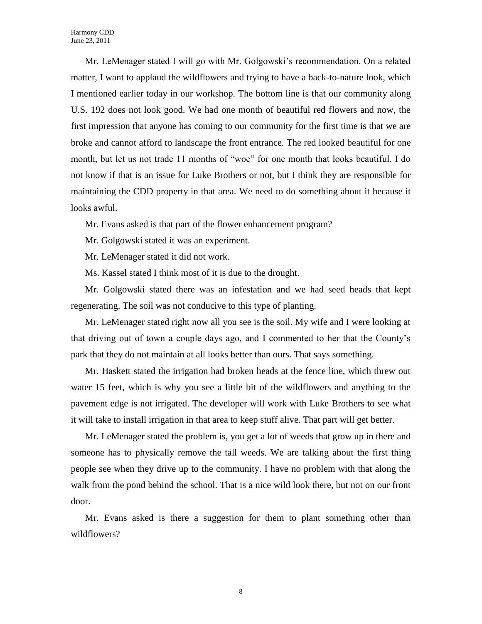Mr. LeMenager stated I will go with Mr. Golgowski's recommendation. On a related matter, I want to applaud the wildflowers and trying to have a back-to-nature look, which I mentioned earlier today in our workshop. The bottom line is that our community along U.S. 192 does not look good. We had one month of beautiful red flowers and now, the first impression that anyone has coming to our community for the first time is that we are broke and cannot afford to landscape the front entrance. The red looked beautiful for one month, but let us not trade 11 months of "woe" for one month that looks beautiful. I do not know if that is an issue for Luke Brothers or not, but I think they are responsible for maintaining the CDD property in that area. We need to do something about it because it looks awful.

Mr. Evans asked is that part of the flower enhancement program?

Mr. Golgowski stated it was an experiment.

Mr. LeMenager stated it did not work.

Ms. Kassel stated I think most of it is due to the drought.

Mr. Golgowski stated there was an infestation and we had seed heads that kept regenerating. The soil was not conducive to this type of planting.

Mr. LeMenager stated right now all you see is the soil. My wife and I were looking at that driving out of town a couple days ago, and I commented to her that the County's park that they do not maintain at all looks better than ours. That says something.

Mr. Haskett stated the irrigation had broken heads at the fence line, which threw out water 15 feet, which is why you see a little bit of the wildflowers and anything to the pavement edge is not irrigated. The developer will work with Luke Brothers to see what it will take to install irrigation in that area to keep stuff alive. That part will get better.

Mr. LeMenager stated the problem is, you get a lot of weeds that grow up in there and someone has to physically remove the tall weeds. We are talking about the first thing people see when they drive up to the community. I have no problem with that along the walk from the pond behind the school. That is a nice wild look there, but not on our front door.

Mr. Evans asked is there a suggestion for them to plant something other than wildflowers?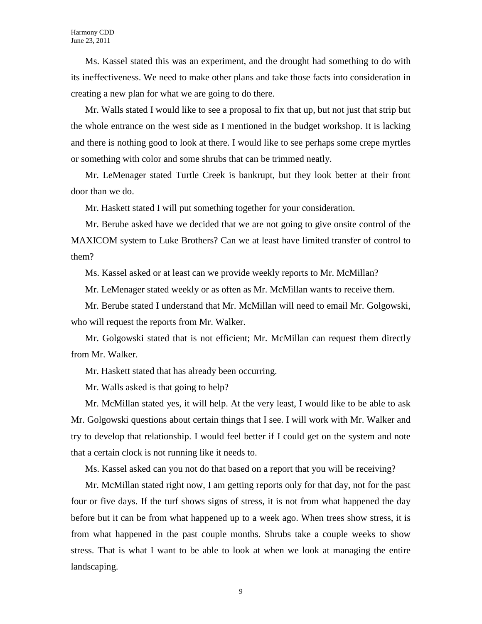Ms. Kassel stated this was an experiment, and the drought had something to do with its ineffectiveness. We need to make other plans and take those facts into consideration in creating a new plan for what we are going to do there.

Mr. Walls stated I would like to see a proposal to fix that up, but not just that strip but the whole entrance on the west side as I mentioned in the budget workshop. It is lacking and there is nothing good to look at there. I would like to see perhaps some crepe myrtles or something with color and some shrubs that can be trimmed neatly.

Mr. LeMenager stated Turtle Creek is bankrupt, but they look better at their front door than we do.

Mr. Haskett stated I will put something together for your consideration.

Mr. Berube asked have we decided that we are not going to give onsite control of the MAXICOM system to Luke Brothers? Can we at least have limited transfer of control to them?

Ms. Kassel asked or at least can we provide weekly reports to Mr. McMillan?

Mr. LeMenager stated weekly or as often as Mr. McMillan wants to receive them.

Mr. Berube stated I understand that Mr. McMillan will need to email Mr. Golgowski, who will request the reports from Mr. Walker.

Mr. Golgowski stated that is not efficient; Mr. McMillan can request them directly from Mr. Walker.

Mr. Haskett stated that has already been occurring.

Mr. Walls asked is that going to help?

Mr. McMillan stated yes, it will help. At the very least, I would like to be able to ask Mr. Golgowski questions about certain things that I see. I will work with Mr. Walker and try to develop that relationship. I would feel better if I could get on the system and note that a certain clock is not running like it needs to.

Ms. Kassel asked can you not do that based on a report that you will be receiving?

Mr. McMillan stated right now, I am getting reports only for that day, not for the past four or five days. If the turf shows signs of stress, it is not from what happened the day before but it can be from what happened up to a week ago. When trees show stress, it is from what happened in the past couple months. Shrubs take a couple weeks to show stress. That is what I want to be able to look at when we look at managing the entire landscaping.

9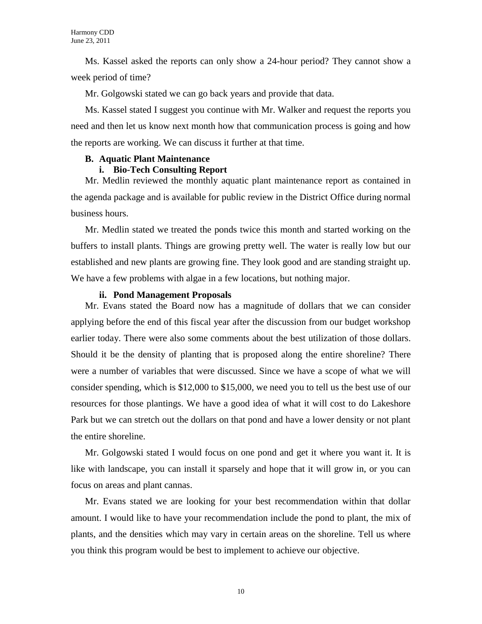Ms. Kassel asked the reports can only show a 24-hour period? They cannot show a week period of time?

Mr. Golgowski stated we can go back years and provide that data.

Ms. Kassel stated I suggest you continue with Mr. Walker and request the reports you need and then let us know next month how that communication process is going and how the reports are working. We can discuss it further at that time.

## **B. Aquatic Plant Maintenance**

## **i. Bio-Tech Consulting Report**

Mr. Medlin reviewed the monthly aquatic plant maintenance report as contained in the agenda package and is available for public review in the District Office during normal business hours.

Mr. Medlin stated we treated the ponds twice this month and started working on the buffers to install plants. Things are growing pretty well. The water is really low but our established and new plants are growing fine. They look good and are standing straight up. We have a few problems with algae in a few locations, but nothing major.

## **ii. Pond Management Proposals**

Mr. Evans stated the Board now has a magnitude of dollars that we can consider applying before the end of this fiscal year after the discussion from our budget workshop earlier today. There were also some comments about the best utilization of those dollars. Should it be the density of planting that is proposed along the entire shoreline? There were a number of variables that were discussed. Since we have a scope of what we will consider spending, which is \$12,000 to \$15,000, we need you to tell us the best use of our resources for those plantings. We have a good idea of what it will cost to do Lakeshore Park but we can stretch out the dollars on that pond and have a lower density or not plant the entire shoreline.

Mr. Golgowski stated I would focus on one pond and get it where you want it. It is like with landscape, you can install it sparsely and hope that it will grow in, or you can focus on areas and plant cannas.

Mr. Evans stated we are looking for your best recommendation within that dollar amount. I would like to have your recommendation include the pond to plant, the mix of plants, and the densities which may vary in certain areas on the shoreline. Tell us where you think this program would be best to implement to achieve our objective.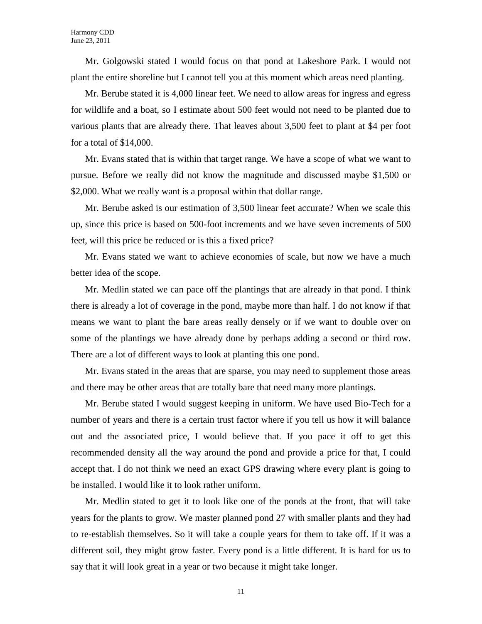Mr. Golgowski stated I would focus on that pond at Lakeshore Park. I would not plant the entire shoreline but I cannot tell you at this moment which areas need planting.

Mr. Berube stated it is 4,000 linear feet. We need to allow areas for ingress and egress for wildlife and a boat, so I estimate about 500 feet would not need to be planted due to various plants that are already there. That leaves about 3,500 feet to plant at \$4 per foot for a total of \$14,000.

Mr. Evans stated that is within that target range. We have a scope of what we want to pursue. Before we really did not know the magnitude and discussed maybe \$1,500 or \$2,000. What we really want is a proposal within that dollar range.

Mr. Berube asked is our estimation of 3,500 linear feet accurate? When we scale this up, since this price is based on 500-foot increments and we have seven increments of 500 feet, will this price be reduced or is this a fixed price?

Mr. Evans stated we want to achieve economies of scale, but now we have a much better idea of the scope.

Mr. Medlin stated we can pace off the plantings that are already in that pond. I think there is already a lot of coverage in the pond, maybe more than half. I do not know if that means we want to plant the bare areas really densely or if we want to double over on some of the plantings we have already done by perhaps adding a second or third row. There are a lot of different ways to look at planting this one pond.

Mr. Evans stated in the areas that are sparse, you may need to supplement those areas and there may be other areas that are totally bare that need many more plantings.

Mr. Berube stated I would suggest keeping in uniform. We have used Bio-Tech for a number of years and there is a certain trust factor where if you tell us how it will balance out and the associated price, I would believe that. If you pace it off to get this recommended density all the way around the pond and provide a price for that, I could accept that. I do not think we need an exact GPS drawing where every plant is going to be installed. I would like it to look rather uniform.

Mr. Medlin stated to get it to look like one of the ponds at the front, that will take years for the plants to grow. We master planned pond 27 with smaller plants and they had to re-establish themselves. So it will take a couple years for them to take off. If it was a different soil, they might grow faster. Every pond is a little different. It is hard for us to say that it will look great in a year or two because it might take longer.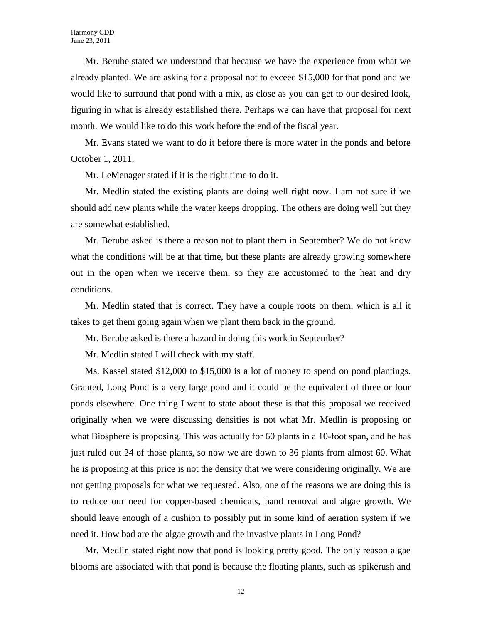Mr. Berube stated we understand that because we have the experience from what we already planted. We are asking for a proposal not to exceed \$15,000 for that pond and we would like to surround that pond with a mix, as close as you can get to our desired look, figuring in what is already established there. Perhaps we can have that proposal for next month. We would like to do this work before the end of the fiscal year.

Mr. Evans stated we want to do it before there is more water in the ponds and before October 1, 2011.

Mr. LeMenager stated if it is the right time to do it.

Mr. Medlin stated the existing plants are doing well right now. I am not sure if we should add new plants while the water keeps dropping. The others are doing well but they are somewhat established.

Mr. Berube asked is there a reason not to plant them in September? We do not know what the conditions will be at that time, but these plants are already growing somewhere out in the open when we receive them, so they are accustomed to the heat and dry conditions.

Mr. Medlin stated that is correct. They have a couple roots on them, which is all it takes to get them going again when we plant them back in the ground.

Mr. Berube asked is there a hazard in doing this work in September?

Mr. Medlin stated I will check with my staff.

Ms. Kassel stated \$12,000 to \$15,000 is a lot of money to spend on pond plantings. Granted, Long Pond is a very large pond and it could be the equivalent of three or four ponds elsewhere. One thing I want to state about these is that this proposal we received originally when we were discussing densities is not what Mr. Medlin is proposing or what Biosphere is proposing. This was actually for 60 plants in a 10-foot span, and he has just ruled out 24 of those plants, so now we are down to 36 plants from almost 60. What he is proposing at this price is not the density that we were considering originally. We are not getting proposals for what we requested. Also, one of the reasons we are doing this is to reduce our need for copper-based chemicals, hand removal and algae growth. We should leave enough of a cushion to possibly put in some kind of aeration system if we need it. How bad are the algae growth and the invasive plants in Long Pond?

Mr. Medlin stated right now that pond is looking pretty good. The only reason algae blooms are associated with that pond is because the floating plants, such as spikerush and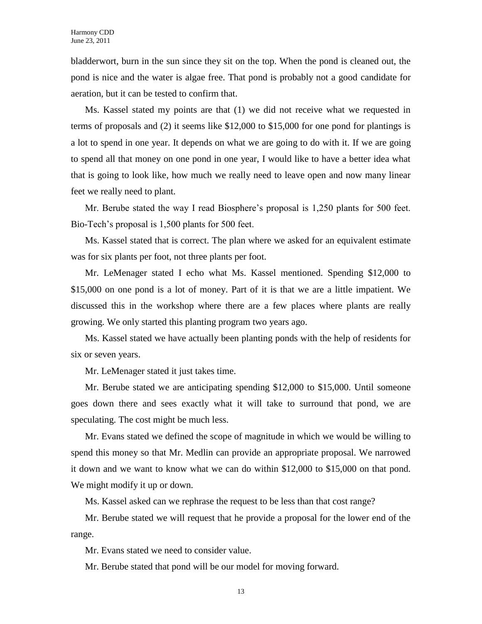bladderwort, burn in the sun since they sit on the top. When the pond is cleaned out, the pond is nice and the water is algae free. That pond is probably not a good candidate for aeration, but it can be tested to confirm that.

Ms. Kassel stated my points are that (1) we did not receive what we requested in terms of proposals and (2) it seems like \$12,000 to \$15,000 for one pond for plantings is a lot to spend in one year. It depends on what we are going to do with it. If we are going to spend all that money on one pond in one year, I would like to have a better idea what that is going to look like, how much we really need to leave open and now many linear feet we really need to plant.

Mr. Berube stated the way I read Biosphere's proposal is 1,250 plants for 500 feet. Bio-Tech's proposal is 1,500 plants for 500 feet.

Ms. Kassel stated that is correct. The plan where we asked for an equivalent estimate was for six plants per foot, not three plants per foot.

Mr. LeMenager stated I echo what Ms. Kassel mentioned. Spending \$12,000 to \$15,000 on one pond is a lot of money. Part of it is that we are a little impatient. We discussed this in the workshop where there are a few places where plants are really growing. We only started this planting program two years ago.

Ms. Kassel stated we have actually been planting ponds with the help of residents for six or seven years.

Mr. LeMenager stated it just takes time.

Mr. Berube stated we are anticipating spending \$12,000 to \$15,000. Until someone goes down there and sees exactly what it will take to surround that pond, we are speculating. The cost might be much less.

Mr. Evans stated we defined the scope of magnitude in which we would be willing to spend this money so that Mr. Medlin can provide an appropriate proposal. We narrowed it down and we want to know what we can do within \$12,000 to \$15,000 on that pond. We might modify it up or down.

Ms. Kassel asked can we rephrase the request to be less than that cost range?

Mr. Berube stated we will request that he provide a proposal for the lower end of the range.

Mr. Evans stated we need to consider value.

Mr. Berube stated that pond will be our model for moving forward.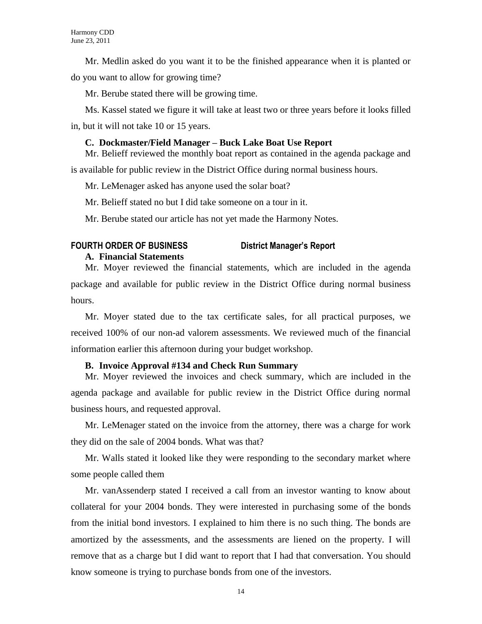Mr. Medlin asked do you want it to be the finished appearance when it is planted or do you want to allow for growing time?

Mr. Berube stated there will be growing time.

Ms. Kassel stated we figure it will take at least two or three years before it looks filled in, but it will not take 10 or 15 years.

#### **C. Dockmaster/Field Manager – Buck Lake Boat Use Report**

Mr. Belieff reviewed the monthly boat report as contained in the agenda package and is available for public review in the District Office during normal business hours.

Mr. LeMenager asked has anyone used the solar boat?

Mr. Belieff stated no but I did take someone on a tour in it.

Mr. Berube stated our article has not yet made the Harmony Notes.

## **FOURTH ORDER OF BUSINESS District Manager's Report**

### **A. Financial Statements**

Mr. Moyer reviewed the financial statements, which are included in the agenda package and available for public review in the District Office during normal business hours.

Mr. Moyer stated due to the tax certificate sales, for all practical purposes, we received 100% of our non-ad valorem assessments. We reviewed much of the financial information earlier this afternoon during your budget workshop.

### **B. Invoice Approval #134 and Check Run Summary**

Mr. Moyer reviewed the invoices and check summary, which are included in the agenda package and available for public review in the District Office during normal business hours, and requested approval.

Mr. LeMenager stated on the invoice from the attorney, there was a charge for work they did on the sale of 2004 bonds. What was that?

Mr. Walls stated it looked like they were responding to the secondary market where some people called them

Mr. vanAssenderp stated I received a call from an investor wanting to know about collateral for your 2004 bonds. They were interested in purchasing some of the bonds from the initial bond investors. I explained to him there is no such thing. The bonds are amortized by the assessments, and the assessments are liened on the property. I will remove that as a charge but I did want to report that I had that conversation. You should know someone is trying to purchase bonds from one of the investors.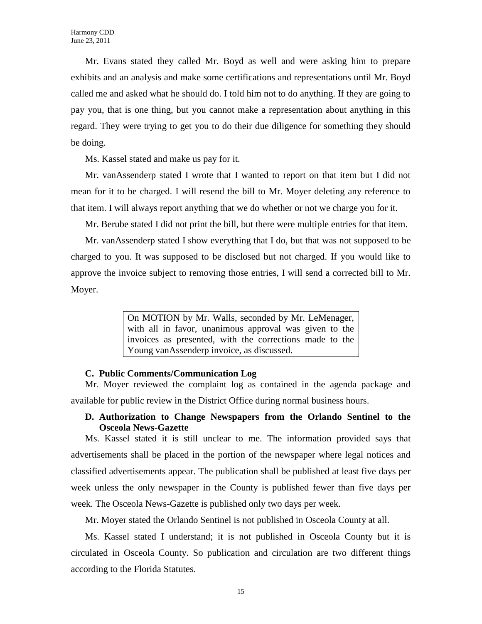Mr. Evans stated they called Mr. Boyd as well and were asking him to prepare exhibits and an analysis and make some certifications and representations until Mr. Boyd called me and asked what he should do. I told him not to do anything. If they are going to pay you, that is one thing, but you cannot make a representation about anything in this regard. They were trying to get you to do their due diligence for something they should be doing.

Ms. Kassel stated and make us pay for it.

Mr. vanAssenderp stated I wrote that I wanted to report on that item but I did not mean for it to be charged. I will resend the bill to Mr. Moyer deleting any reference to that item. I will always report anything that we do whether or not we charge you for it.

Mr. Berube stated I did not print the bill, but there were multiple entries for that item.

Mr. vanAssenderp stated I show everything that I do, but that was not supposed to be charged to you. It was supposed to be disclosed but not charged. If you would like to approve the invoice subject to removing those entries, I will send a corrected bill to Mr. Moyer.

> On MOTION by Mr. Walls, seconded by Mr. LeMenager, with all in favor, unanimous approval was given to the invoices as presented, with the corrections made to the Young vanAssenderp invoice, as discussed.

#### **C. Public Comments/Communication Log**

Mr. Moyer reviewed the complaint log as contained in the agenda package and available for public review in the District Office during normal business hours.

## **D. Authorization to Change Newspapers from the Orlando Sentinel to the Osceola News-Gazette**

Ms. Kassel stated it is still unclear to me. The information provided says that advertisements shall be placed in the portion of the newspaper where legal notices and classified advertisements appear. The publication shall be published at least five days per week unless the only newspaper in the County is published fewer than five days per week. The Osceola News-Gazette is published only two days per week.

Mr. Moyer stated the Orlando Sentinel is not published in Osceola County at all.

Ms. Kassel stated I understand; it is not published in Osceola County but it is circulated in Osceola County. So publication and circulation are two different things according to the Florida Statutes.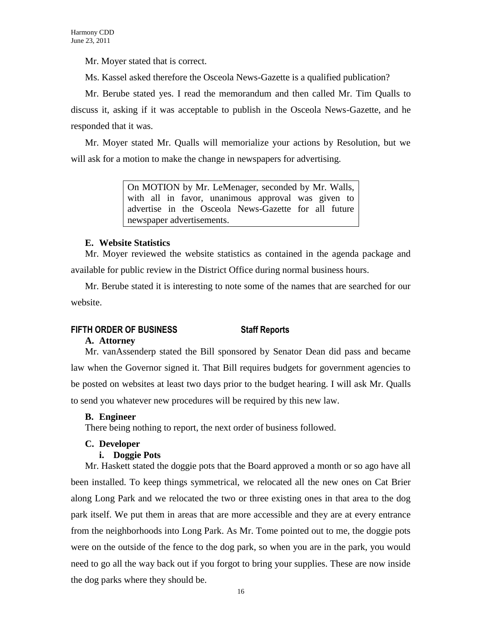Mr. Moyer stated that is correct.

Ms. Kassel asked therefore the Osceola News-Gazette is a qualified publication?

Mr. Berube stated yes. I read the memorandum and then called Mr. Tim Qualls to discuss it, asking if it was acceptable to publish in the Osceola News-Gazette, and he responded that it was.

Mr. Moyer stated Mr. Qualls will memorialize your actions by Resolution, but we will ask for a motion to make the change in newspapers for advertising.

> On MOTION by Mr. LeMenager, seconded by Mr. Walls, with all in favor, unanimous approval was given to advertise in the Osceola News-Gazette for all future newspaper advertisements.

## **E. Website Statistics**

Mr. Moyer reviewed the website statistics as contained in the agenda package and available for public review in the District Office during normal business hours.

Mr. Berube stated it is interesting to note some of the names that are searched for our website.

## **FIFTH ORDER OF BUSINESS Staff Reports**

## **A. Attorney**

Mr. vanAssenderp stated the Bill sponsored by Senator Dean did pass and became law when the Governor signed it. That Bill requires budgets for government agencies to be posted on websites at least two days prior to the budget hearing. I will ask Mr. Qualls to send you whatever new procedures will be required by this new law.

## **B. Engineer**

There being nothing to report, the next order of business followed.

### **C. Developer**

### **i. Doggie Pots**

Mr. Haskett stated the doggie pots that the Board approved a month or so ago have all been installed. To keep things symmetrical, we relocated all the new ones on Cat Brier along Long Park and we relocated the two or three existing ones in that area to the dog park itself. We put them in areas that are more accessible and they are at every entrance from the neighborhoods into Long Park. As Mr. Tome pointed out to me, the doggie pots were on the outside of the fence to the dog park, so when you are in the park, you would need to go all the way back out if you forgot to bring your supplies. These are now inside the dog parks where they should be.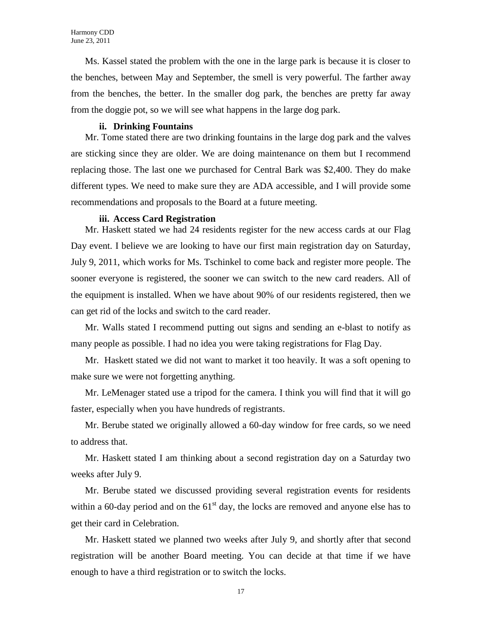Ms. Kassel stated the problem with the one in the large park is because it is closer to the benches, between May and September, the smell is very powerful. The farther away from the benches, the better. In the smaller dog park, the benches are pretty far away from the doggie pot, so we will see what happens in the large dog park.

#### **ii. Drinking Fountains**

Mr. Tome stated there are two drinking fountains in the large dog park and the valves are sticking since they are older. We are doing maintenance on them but I recommend replacing those. The last one we purchased for Central Bark was \$2,400. They do make different types. We need to make sure they are ADA accessible, and I will provide some recommendations and proposals to the Board at a future meeting.

#### **iii. Access Card Registration**

Mr. Haskett stated we had 24 residents register for the new access cards at our Flag Day event. I believe we are looking to have our first main registration day on Saturday, July 9, 2011, which works for Ms. Tschinkel to come back and register more people. The sooner everyone is registered, the sooner we can switch to the new card readers. All of the equipment is installed. When we have about 90% of our residents registered, then we can get rid of the locks and switch to the card reader.

Mr. Walls stated I recommend putting out signs and sending an e-blast to notify as many people as possible. I had no idea you were taking registrations for Flag Day.

Mr. Haskett stated we did not want to market it too heavily. It was a soft opening to make sure we were not forgetting anything.

Mr. LeMenager stated use a tripod for the camera. I think you will find that it will go faster, especially when you have hundreds of registrants.

Mr. Berube stated we originally allowed a 60-day window for free cards, so we need to address that.

Mr. Haskett stated I am thinking about a second registration day on a Saturday two weeks after July 9.

Mr. Berube stated we discussed providing several registration events for residents within a 60-day period and on the  $61<sup>st</sup>$  day, the locks are removed and anyone else has to get their card in Celebration.

Mr. Haskett stated we planned two weeks after July 9, and shortly after that second registration will be another Board meeting. You can decide at that time if we have enough to have a third registration or to switch the locks.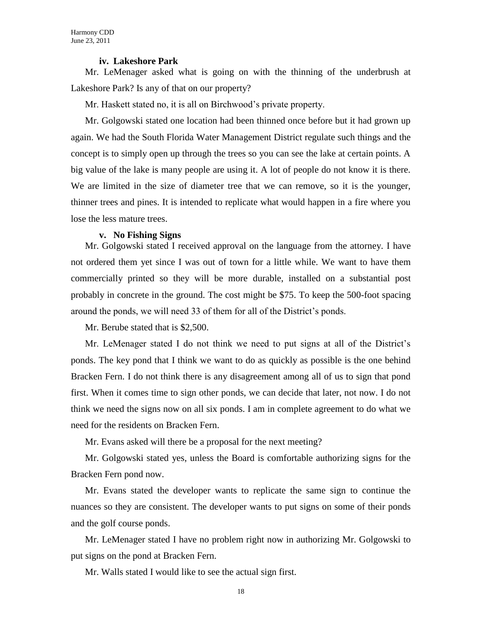#### **iv. Lakeshore Park**

Mr. LeMenager asked what is going on with the thinning of the underbrush at Lakeshore Park? Is any of that on our property?

Mr. Haskett stated no, it is all on Birchwood's private property.

Mr. Golgowski stated one location had been thinned once before but it had grown up again. We had the South Florida Water Management District regulate such things and the concept is to simply open up through the trees so you can see the lake at certain points. A big value of the lake is many people are using it. A lot of people do not know it is there. We are limited in the size of diameter tree that we can remove, so it is the younger, thinner trees and pines. It is intended to replicate what would happen in a fire where you lose the less mature trees.

#### **v. No Fishing Signs**

Mr. Golgowski stated I received approval on the language from the attorney. I have not ordered them yet since I was out of town for a little while. We want to have them commercially printed so they will be more durable, installed on a substantial post probably in concrete in the ground. The cost might be \$75. To keep the 500-foot spacing around the ponds, we will need 33 of them for all of the District's ponds.

Mr. Berube stated that is \$2,500.

Mr. LeMenager stated I do not think we need to put signs at all of the District's ponds. The key pond that I think we want to do as quickly as possible is the one behind Bracken Fern. I do not think there is any disagreement among all of us to sign that pond first. When it comes time to sign other ponds, we can decide that later, not now. I do not think we need the signs now on all six ponds. I am in complete agreement to do what we need for the residents on Bracken Fern.

Mr. Evans asked will there be a proposal for the next meeting?

Mr. Golgowski stated yes, unless the Board is comfortable authorizing signs for the Bracken Fern pond now.

Mr. Evans stated the developer wants to replicate the same sign to continue the nuances so they are consistent. The developer wants to put signs on some of their ponds and the golf course ponds.

Mr. LeMenager stated I have no problem right now in authorizing Mr. Golgowski to put signs on the pond at Bracken Fern.

Mr. Walls stated I would like to see the actual sign first.

18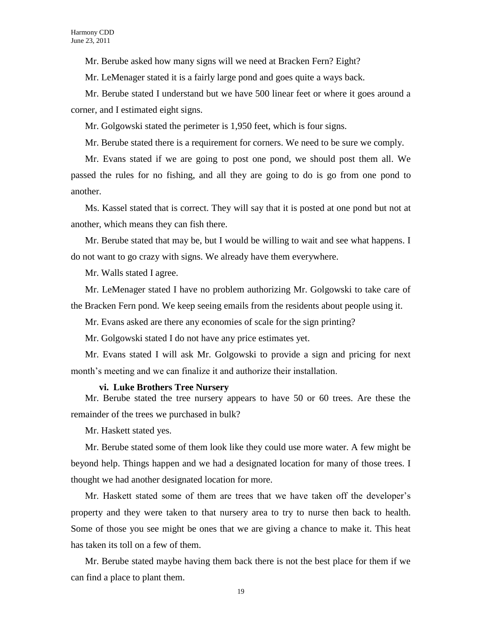Mr. Berube asked how many signs will we need at Bracken Fern? Eight?

Mr. LeMenager stated it is a fairly large pond and goes quite a ways back.

Mr. Berube stated I understand but we have 500 linear feet or where it goes around a corner, and I estimated eight signs.

Mr. Golgowski stated the perimeter is 1,950 feet, which is four signs.

Mr. Berube stated there is a requirement for corners. We need to be sure we comply.

Mr. Evans stated if we are going to post one pond, we should post them all. We passed the rules for no fishing, and all they are going to do is go from one pond to another.

Ms. Kassel stated that is correct. They will say that it is posted at one pond but not at another, which means they can fish there.

Mr. Berube stated that may be, but I would be willing to wait and see what happens. I do not want to go crazy with signs. We already have them everywhere.

Mr. Walls stated I agree.

Mr. LeMenager stated I have no problem authorizing Mr. Golgowski to take care of the Bracken Fern pond. We keep seeing emails from the residents about people using it.

Mr. Evans asked are there any economies of scale for the sign printing?

Mr. Golgowski stated I do not have any price estimates yet.

Mr. Evans stated I will ask Mr. Golgowski to provide a sign and pricing for next month's meeting and we can finalize it and authorize their installation.

#### **vi. Luke Brothers Tree Nursery**

Mr. Berube stated the tree nursery appears to have 50 or 60 trees. Are these the remainder of the trees we purchased in bulk?

Mr. Haskett stated yes.

Mr. Berube stated some of them look like they could use more water. A few might be beyond help. Things happen and we had a designated location for many of those trees. I thought we had another designated location for more.

Mr. Haskett stated some of them are trees that we have taken off the developer's property and they were taken to that nursery area to try to nurse then back to health. Some of those you see might be ones that we are giving a chance to make it. This heat has taken its toll on a few of them.

Mr. Berube stated maybe having them back there is not the best place for them if we can find a place to plant them.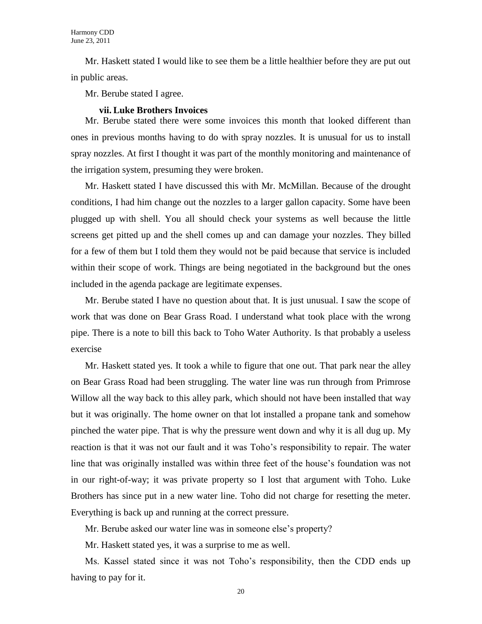Mr. Haskett stated I would like to see them be a little healthier before they are put out in public areas.

Mr. Berube stated I agree.

#### **vii. Luke Brothers Invoices**

Mr. Berube stated there were some invoices this month that looked different than ones in previous months having to do with spray nozzles. It is unusual for us to install spray nozzles. At first I thought it was part of the monthly monitoring and maintenance of the irrigation system, presuming they were broken.

Mr. Haskett stated I have discussed this with Mr. McMillan. Because of the drought conditions, I had him change out the nozzles to a larger gallon capacity. Some have been plugged up with shell. You all should check your systems as well because the little screens get pitted up and the shell comes up and can damage your nozzles. They billed for a few of them but I told them they would not be paid because that service is included within their scope of work. Things are being negotiated in the background but the ones included in the agenda package are legitimate expenses.

Mr. Berube stated I have no question about that. It is just unusual. I saw the scope of work that was done on Bear Grass Road. I understand what took place with the wrong pipe. There is a note to bill this back to Toho Water Authority. Is that probably a useless exercise

Mr. Haskett stated yes. It took a while to figure that one out. That park near the alley on Bear Grass Road had been struggling. The water line was run through from Primrose Willow all the way back to this alley park, which should not have been installed that way but it was originally. The home owner on that lot installed a propane tank and somehow pinched the water pipe. That is why the pressure went down and why it is all dug up. My reaction is that it was not our fault and it was Toho's responsibility to repair. The water line that was originally installed was within three feet of the house's foundation was not in our right-of-way; it was private property so I lost that argument with Toho. Luke Brothers has since put in a new water line. Toho did not charge for resetting the meter. Everything is back up and running at the correct pressure.

Mr. Berube asked our water line was in someone else's property?

Mr. Haskett stated yes, it was a surprise to me as well.

Ms. Kassel stated since it was not Toho's responsibility, then the CDD ends up having to pay for it.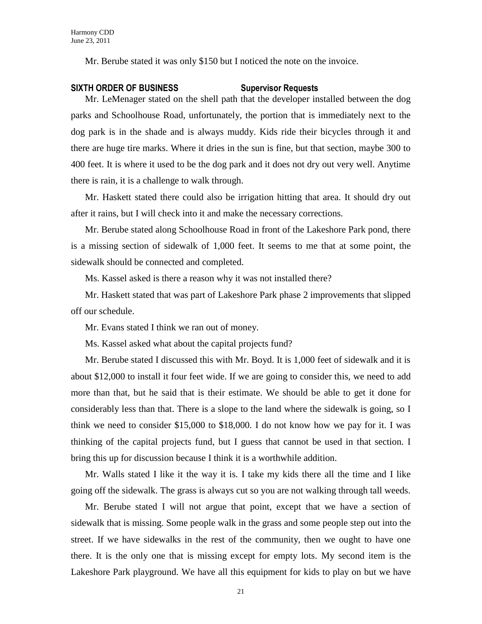Mr. Berube stated it was only \$150 but I noticed the note on the invoice.

#### **SIXTH ORDER OF BUSINESS Supervisor Requests**

Mr. LeMenager stated on the shell path that the developer installed between the dog parks and Schoolhouse Road, unfortunately, the portion that is immediately next to the dog park is in the shade and is always muddy. Kids ride their bicycles through it and there are huge tire marks. Where it dries in the sun is fine, but that section, maybe 300 to 400 feet. It is where it used to be the dog park and it does not dry out very well. Anytime there is rain, it is a challenge to walk through.

Mr. Haskett stated there could also be irrigation hitting that area. It should dry out after it rains, but I will check into it and make the necessary corrections.

Mr. Berube stated along Schoolhouse Road in front of the Lakeshore Park pond, there is a missing section of sidewalk of 1,000 feet. It seems to me that at some point, the sidewalk should be connected and completed.

Ms. Kassel asked is there a reason why it was not installed there?

Mr. Haskett stated that was part of Lakeshore Park phase 2 improvements that slipped off our schedule.

Mr. Evans stated I think we ran out of money.

Ms. Kassel asked what about the capital projects fund?

Mr. Berube stated I discussed this with Mr. Boyd. It is 1,000 feet of sidewalk and it is about \$12,000 to install it four feet wide. If we are going to consider this, we need to add more than that, but he said that is their estimate. We should be able to get it done for considerably less than that. There is a slope to the land where the sidewalk is going, so I think we need to consider \$15,000 to \$18,000. I do not know how we pay for it. I was thinking of the capital projects fund, but I guess that cannot be used in that section. I bring this up for discussion because I think it is a worthwhile addition.

Mr. Walls stated I like it the way it is. I take my kids there all the time and I like going off the sidewalk. The grass is always cut so you are not walking through tall weeds.

Mr. Berube stated I will not argue that point, except that we have a section of sidewalk that is missing. Some people walk in the grass and some people step out into the street. If we have sidewalks in the rest of the community, then we ought to have one there. It is the only one that is missing except for empty lots. My second item is the Lakeshore Park playground. We have all this equipment for kids to play on but we have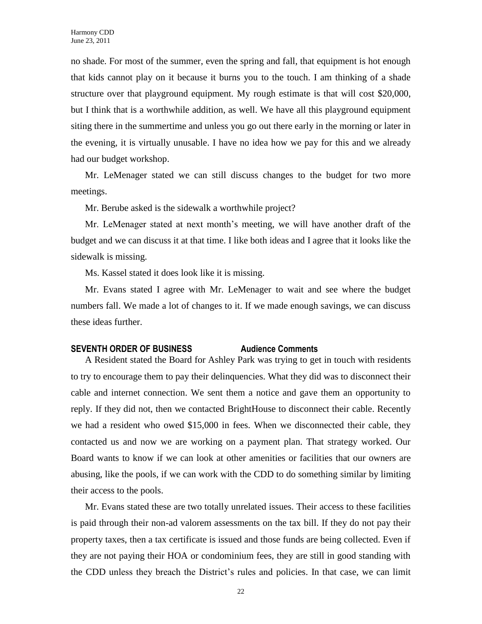no shade. For most of the summer, even the spring and fall, that equipment is hot enough that kids cannot play on it because it burns you to the touch. I am thinking of a shade structure over that playground equipment. My rough estimate is that will cost \$20,000, but I think that is a worthwhile addition, as well. We have all this playground equipment siting there in the summertime and unless you go out there early in the morning or later in the evening, it is virtually unusable. I have no idea how we pay for this and we already had our budget workshop.

Mr. LeMenager stated we can still discuss changes to the budget for two more meetings.

Mr. Berube asked is the sidewalk a worthwhile project?

Mr. LeMenager stated at next month's meeting, we will have another draft of the budget and we can discuss it at that time. I like both ideas and I agree that it looks like the sidewalk is missing.

Ms. Kassel stated it does look like it is missing.

Mr. Evans stated I agree with Mr. LeMenager to wait and see where the budget numbers fall. We made a lot of changes to it. If we made enough savings, we can discuss these ideas further.

## **SEVENTH ORDER OF BUSINESS Audience Comments**

A Resident stated the Board for Ashley Park was trying to get in touch with residents to try to encourage them to pay their delinquencies. What they did was to disconnect their cable and internet connection. We sent them a notice and gave them an opportunity to reply. If they did not, then we contacted BrightHouse to disconnect their cable. Recently we had a resident who owed \$15,000 in fees. When we disconnected their cable, they contacted us and now we are working on a payment plan. That strategy worked. Our Board wants to know if we can look at other amenities or facilities that our owners are abusing, like the pools, if we can work with the CDD to do something similar by limiting their access to the pools.

Mr. Evans stated these are two totally unrelated issues. Their access to these facilities is paid through their non-ad valorem assessments on the tax bill. If they do not pay their property taxes, then a tax certificate is issued and those funds are being collected. Even if they are not paying their HOA or condominium fees, they are still in good standing with the CDD unless they breach the District's rules and policies. In that case, we can limit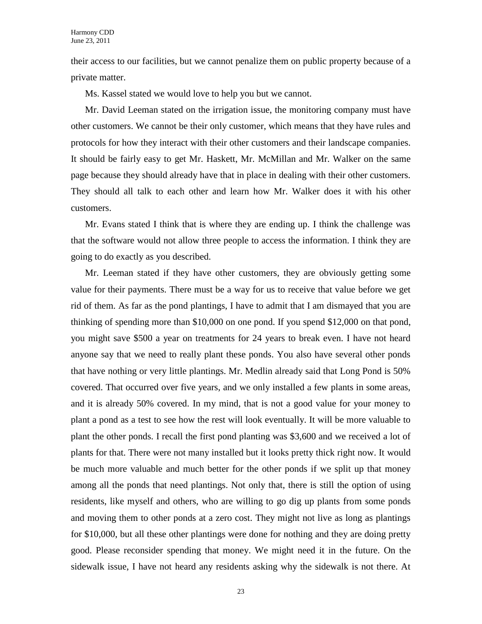their access to our facilities, but we cannot penalize them on public property because of a private matter.

Ms. Kassel stated we would love to help you but we cannot.

Mr. David Leeman stated on the irrigation issue, the monitoring company must have other customers. We cannot be their only customer, which means that they have rules and protocols for how they interact with their other customers and their landscape companies. It should be fairly easy to get Mr. Haskett, Mr. McMillan and Mr. Walker on the same page because they should already have that in place in dealing with their other customers. They should all talk to each other and learn how Mr. Walker does it with his other customers.

Mr. Evans stated I think that is where they are ending up. I think the challenge was that the software would not allow three people to access the information. I think they are going to do exactly as you described.

Mr. Leeman stated if they have other customers, they are obviously getting some value for their payments. There must be a way for us to receive that value before we get rid of them. As far as the pond plantings, I have to admit that I am dismayed that you are thinking of spending more than \$10,000 on one pond. If you spend \$12,000 on that pond, you might save \$500 a year on treatments for 24 years to break even. I have not heard anyone say that we need to really plant these ponds. You also have several other ponds that have nothing or very little plantings. Mr. Medlin already said that Long Pond is 50% covered. That occurred over five years, and we only installed a few plants in some areas, and it is already 50% covered. In my mind, that is not a good value for your money to plant a pond as a test to see how the rest will look eventually. It will be more valuable to plant the other ponds. I recall the first pond planting was \$3,600 and we received a lot of plants for that. There were not many installed but it looks pretty thick right now. It would be much more valuable and much better for the other ponds if we split up that money among all the ponds that need plantings. Not only that, there is still the option of using residents, like myself and others, who are willing to go dig up plants from some ponds and moving them to other ponds at a zero cost. They might not live as long as plantings for \$10,000, but all these other plantings were done for nothing and they are doing pretty good. Please reconsider spending that money. We might need it in the future. On the sidewalk issue, I have not heard any residents asking why the sidewalk is not there. At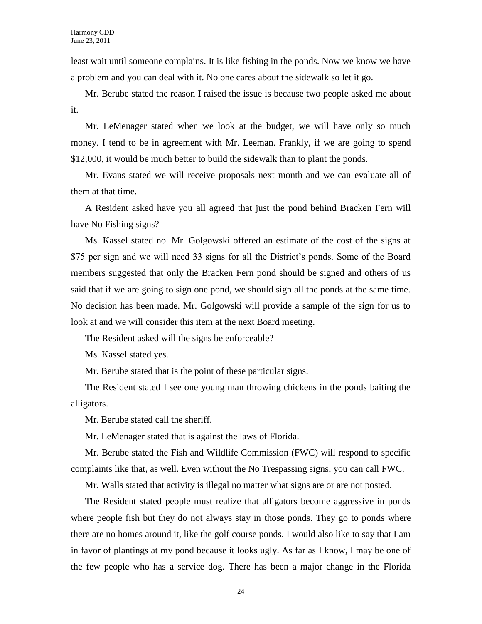least wait until someone complains. It is like fishing in the ponds. Now we know we have a problem and you can deal with it. No one cares about the sidewalk so let it go.

Mr. Berube stated the reason I raised the issue is because two people asked me about it.

Mr. LeMenager stated when we look at the budget, we will have only so much money. I tend to be in agreement with Mr. Leeman. Frankly, if we are going to spend \$12,000, it would be much better to build the sidewalk than to plant the ponds.

Mr. Evans stated we will receive proposals next month and we can evaluate all of them at that time.

A Resident asked have you all agreed that just the pond behind Bracken Fern will have No Fishing signs?

Ms. Kassel stated no. Mr. Golgowski offered an estimate of the cost of the signs at \$75 per sign and we will need 33 signs for all the District's ponds. Some of the Board members suggested that only the Bracken Fern pond should be signed and others of us said that if we are going to sign one pond, we should sign all the ponds at the same time. No decision has been made. Mr. Golgowski will provide a sample of the sign for us to look at and we will consider this item at the next Board meeting.

The Resident asked will the signs be enforceable?

Ms. Kassel stated yes.

Mr. Berube stated that is the point of these particular signs.

The Resident stated I see one young man throwing chickens in the ponds baiting the alligators.

Mr. Berube stated call the sheriff.

Mr. LeMenager stated that is against the laws of Florida.

Mr. Berube stated the Fish and Wildlife Commission (FWC) will respond to specific complaints like that, as well. Even without the No Trespassing signs, you can call FWC.

Mr. Walls stated that activity is illegal no matter what signs are or are not posted.

The Resident stated people must realize that alligators become aggressive in ponds where people fish but they do not always stay in those ponds. They go to ponds where there are no homes around it, like the golf course ponds. I would also like to say that I am in favor of plantings at my pond because it looks ugly. As far as I know, I may be one of the few people who has a service dog. There has been a major change in the Florida